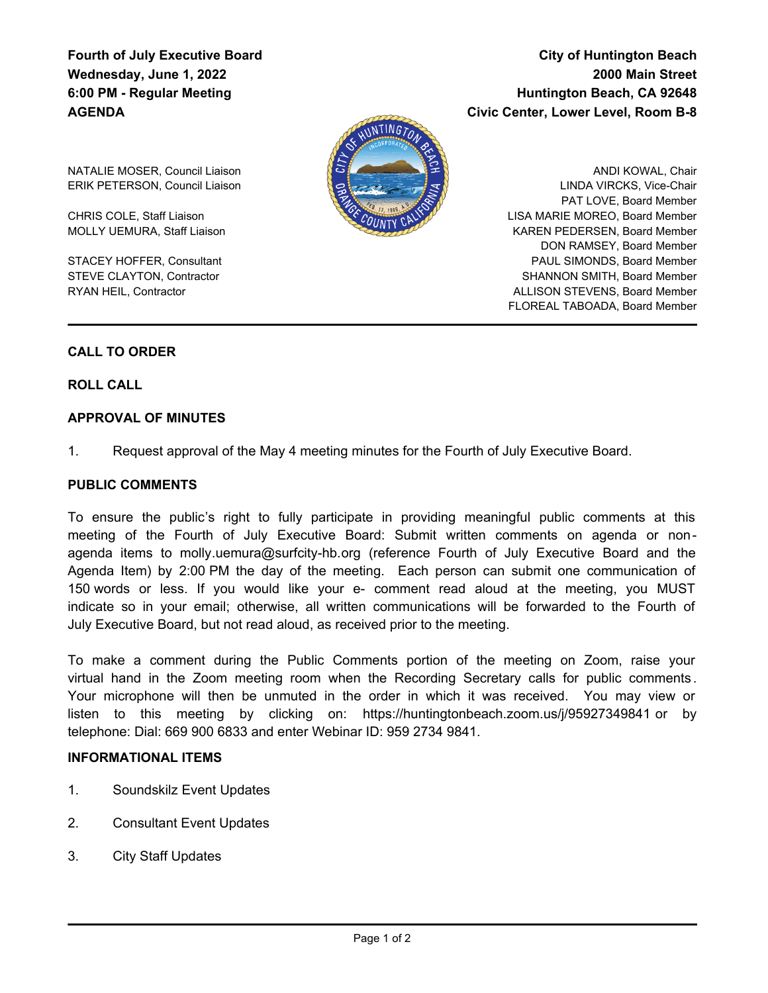## **Fourth of July Executive Board Wednesday, June 1, 2022 6:00 PM - Regular Meeting AGENDA**

# **City of Huntington Beach 2000 Main Street Huntington Beach, CA 92648 Civic Center, Lower Level, Room B-8**



NATALIE MOSER, Council Liaison ERIK PETERSON, Council Liaison

CHRIS COLE, Staff Liaison MOLLY UEMURA, Staff Liaison

STACEY HOFFER, Consultant STEVE CLAYTON, Contractor RYAN HEIL, Contractor

ANDI KOWAL, Chair LINDA VIRCKS, Vice-Chair PAT LOVE, Board Member LISA MARIE MOREO, Board Member KAREN PEDERSEN, Board Member DON RAMSEY, Board Member PAUL SIMONDS, Board Member SHANNON SMITH, Board Member ALLISON STEVENS, Board Member FLOREAL TABOADA, Board Member

## **CALL TO ORDER**

**ROLL CALL**

## **APPROVAL OF MINUTES**

1. Request approval of the May 4 meeting minutes for the Fourth of July Executive Board.

#### **PUBLIC COMMENTS**

To ensure the public's right to fully participate in providing meaningful public comments at this meeting of the Fourth of July Executive Board: Submit written comments on agenda or nonagenda items to molly.uemura@surfcity-hb.org (reference Fourth of July Executive Board and the Agenda Item) by 2:00 PM the day of the meeting. Each person can submit one communication of 150 words or less. If you would like your e- comment read aloud at the meeting, you MUST indicate so in your email; otherwise, all written communications will be forwarded to the Fourth of July Executive Board, but not read aloud, as received prior to the meeting.

To make a comment during the Public Comments portion of the meeting on Zoom, raise your virtual hand in the Zoom meeting room when the Recording Secretary calls for public comments . Your microphone will then be unmuted in the order in which it was received. You may view or listen to this meeting by clicking on: https://huntingtonbeach.zoom.us/j/95927349841 or by telephone: Dial: 669 900 6833 and enter Webinar ID: 959 2734 9841.

#### **INFORMATIONAL ITEMS**

- 1. Soundskilz Event Updates
- 2. Consultant Event Updates
- 3. City Staff Updates